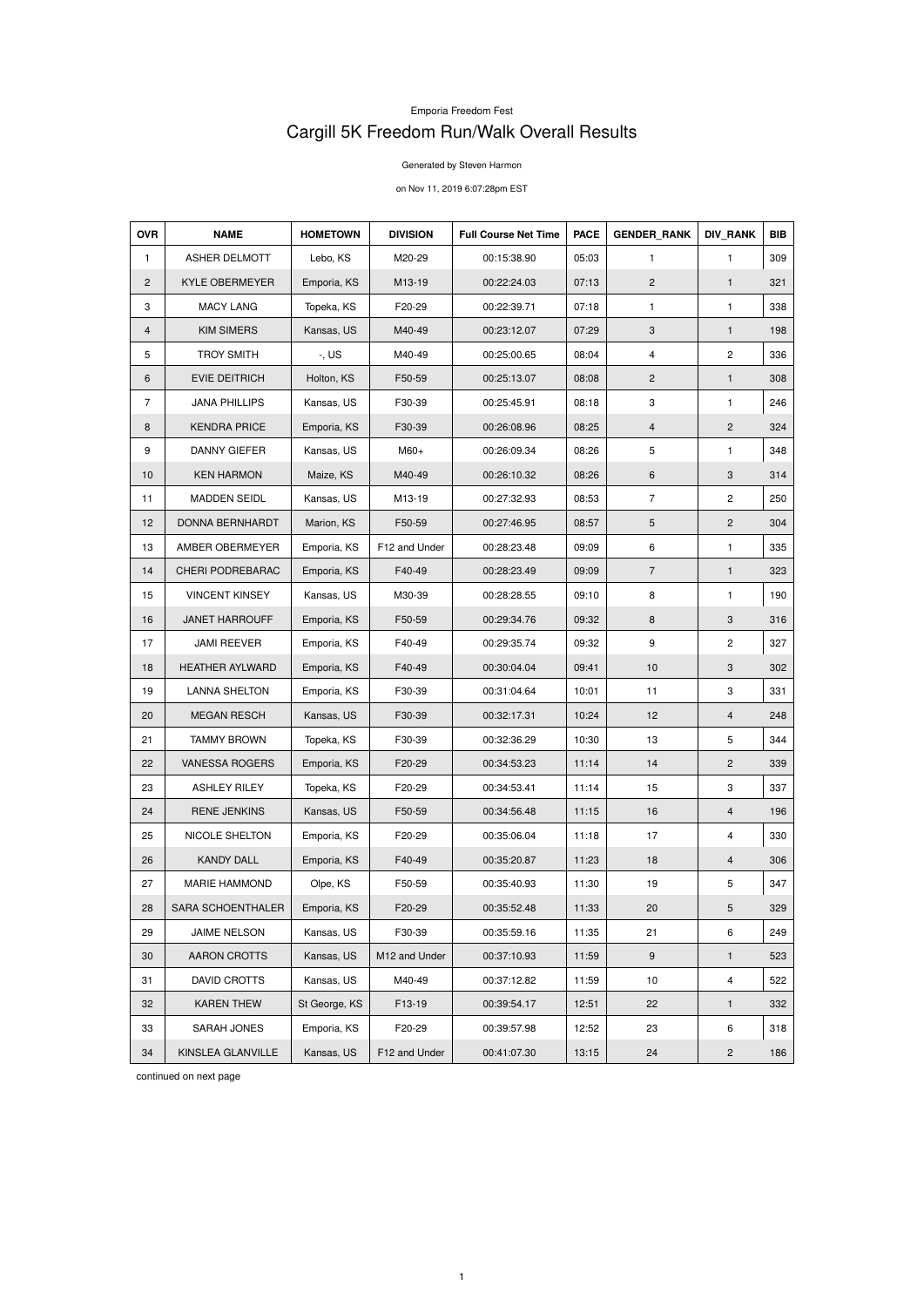## Emporia Freedom Fest Cargill 5K Freedom Run/Walk Overall Results

Generated by Steven Harmon

on Nov 11, 2019 6:07:28pm EST

| <b>OVR</b>     | <b>NAME</b>             | <b>HOMETOWN</b> | <b>DIVISION</b> | <b>Full Course Net Time</b> | <b>PACE</b> | <b>GENDER RANK</b>        | <b>DIV RANK</b> | <b>BIB</b> |
|----------------|-------------------------|-----------------|-----------------|-----------------------------|-------------|---------------------------|-----------------|------------|
| 1              | ASHER DELMOTT           | Lebo, KS        | M20-29          | 00:15:38.90                 | 05:03       | 1                         | $\mathbf{1}$    | 309        |
| $\overline{2}$ | <b>KYLE OBERMEYER</b>   | Emporia, KS     | M13-19          | 00:22:24.03                 | 07:13       | 2                         | $\mathbf{1}$    | 321        |
| 3              | <b>MACY LANG</b>        | Topeka, KS      | F20-29          | 00:22:39.71                 | 07:18       | $\mathbf{1}$              | 1               | 338        |
| 4              | <b>KIM SIMERS</b>       | Kansas, US      | M40-49          | 00:23:12.07                 | 07:29       | $\ensuremath{\mathsf{3}}$ | $\mathbf{1}$    | 198        |
| 5              | <b>TROY SMITH</b>       | $-$ , US        | M40-49          | 00:25:00.65                 | 08:04       | $\overline{4}$            | $\mathbf{2}$    | 336        |
| 6              | <b>EVIE DEITRICH</b>    | Holton, KS      | F50-59          | 00:25:13.07                 | 08:08       | $\overline{2}$            | $\mathbf{1}$    | 308        |
| $\overline{7}$ | <b>JANA PHILLIPS</b>    | Kansas, US      | F30-39          | 00:25:45.91                 | 08:18       | 3                         | 1               | 246        |
| 8              | <b>KENDRA PRICE</b>     | Emporia, KS     | F30-39          | 00:26:08.96                 | 08:25       | 4                         | $\overline{c}$  | 324        |
| 9              | DANNY GIEFER            | Kansas, US      | M60+            | 00:26:09.34                 | 08:26       | 5                         | 1               | 348        |
| 10             | <b>KEN HARMON</b>       | Maize, KS       | M40-49          | 00:26:10.32                 | 08:26       | 6                         | 3               | 314        |
| 11             | <b>MADDEN SEIDL</b>     | Kansas, US      | M13-19          | 00:27:32.93                 | 08:53       | $\overline{7}$            | $\overline{c}$  | 250        |
| 12             | <b>DONNA BERNHARDT</b>  | Marion, KS      | F50-59          | 00:27:46.95                 | 08:57       | 5                         | $\overline{c}$  | 304        |
| 13             | AMBER OBERMEYER         | Emporia, KS     | F12 and Under   | 00:28:23.48                 | 09:09       | 6                         | 1               | 335        |
| 14             | <b>CHERI PODREBARAC</b> | Emporia, KS     | F40-49          | 00:28:23.49                 | 09:09       | $\overline{7}$            | 1               | 323        |
| 15             | <b>VINCENT KINSEY</b>   | Kansas, US      | M30-39          | 00:28:28.55                 | 09:10       | 8                         | 1               | 190        |
| 16             | <b>JANET HARROUFF</b>   | Emporia, KS     | F50-59          | 00:29:34.76                 | 09:32       | 8                         | 3               | 316        |
| 17             | <b>JAMI REEVER</b>      | Emporia, KS     | F40-49          | 00:29:35.74                 | 09:32       | 9                         | $\overline{c}$  | 327        |
| 18             | <b>HEATHER AYLWARD</b>  | Emporia, KS     | F40-49          | 00:30:04.04                 | 09:41       | 10                        | 3               | 302        |
| 19             | <b>LANNA SHELTON</b>    | Emporia, KS     | F30-39          | 00:31:04.64                 | 10:01       | 11                        | 3               | 331        |
| 20             | <b>MEGAN RESCH</b>      | Kansas, US      | F30-39          | 00:32:17.31                 | 10:24       | 12                        | 4               | 248        |
| 21             | <b>TAMMY BROWN</b>      | Topeka, KS      | F30-39          | 00:32:36.29                 | 10:30       | 13                        | 5               | 344        |
| 22             | VANESSA ROGERS          | Emporia, KS     | F20-29          | 00:34:53.23                 | 11:14       | 14                        | 2               | 339        |
| 23             | <b>ASHLEY RILEY</b>     | Topeka, KS      | F20-29          | 00:34:53.41                 | 11:14       | 15                        | 3               | 337        |
| 24             | <b>RENE JENKINS</b>     | Kansas, US      | F50-59          | 00:34:56.48                 | 11:15       | 16                        | $\overline{4}$  | 196        |
| 25             | NICOLE SHELTON          | Emporia, KS     | F20-29          | 00:35:06.04                 | 11:18       | 17                        | 4               | 330        |
| 26             | <b>KANDY DALL</b>       | Emporia, KS     | F40-49          | 00:35:20.87                 | 11:23       | 18                        | 4               | 306        |
| 27             | MARIE HAMMOND           | Olpe, KS        | F50-59          | 00:35:40.93                 | 11:30       | 19                        | 5               | 347        |
| 28             | SARA SCHOENTHALER       | Emporia, KS     | F20-29          | 00:35:52.48                 | 11:33       | 20                        | 5               | 329        |
| 29             | JAIME NELSON            | Kansas, US      | F30-39          | 00:35:59.16                 | 11:35       | 21                        | 6               | 249        |
| 30             | <b>AARON CROTTS</b>     | Kansas, US      | M12 and Under   | 00:37:10.93                 | 11:59       | 9                         | $\mathbf{1}$    | 523        |
| 31             | <b>DAVID CROTTS</b>     | Kansas, US      | M40-49          | 00:37:12.82                 | 11:59       | 10                        | 4               | 522        |
| 32             | <b>KAREN THEW</b>       | St George, KS   | F13-19          | 00:39:54.17                 | 12:51       | 22                        | $\mathbf{1}$    | 332        |
| 33             | SARAH JONES             | Emporia, KS     | F20-29          | 00:39:57.98                 | 12:52       | 23                        | 6               | 318        |
| 34             | KINSLEA GLANVILLE       | Kansas, US      | F12 and Under   | 00:41:07.30                 | 13:15       | 24                        | $\mathbf{2}$    | 186        |

continued on next page